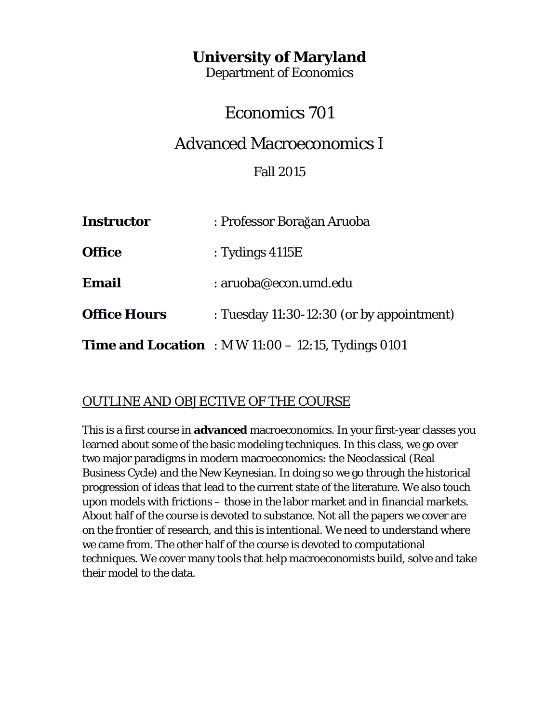## **University of Maryland**

Department of Economics

# Economics 701

# Advanced Macroeconomics I

## Fall 2015

| <b>Instructor</b>   | : Professor Borağan Aruoba                                    |
|---------------------|---------------------------------------------------------------|
| <b>Office</b>       | : Tydings $4115E$                                             |
| <b>Email</b>        | : aruoba@econ.umd.edu                                         |
| <b>Office Hours</b> | : Tuesday 11:30-12:30 (or by appointment)                     |
|                     | <b>Time and Location</b> : M W $11:00 - 12:15$ , Tydings 0101 |

## OUTLINE AND OBJECTIVE OF THE COURSE

This is a first course in **advanced** macroeconomics. In your first-year classes you learned about some of the basic modeling techniques. In this class, we go over two major paradigms in modern macroeconomics: the Neoclassical (Real Business Cycle) and the New Keynesian. In doing so we go through the historical progression of ideas that lead to the current state of the literature. We also touch upon models with frictions – those in the labor market and in financial markets. About half of the course is devoted to substance. Not all the papers we cover are on the frontier of research, and this is intentional. We need to understand where we came from. The other half of the course is devoted to computational techniques. We cover many tools that help macroeconomists build, solve and take their model to the data.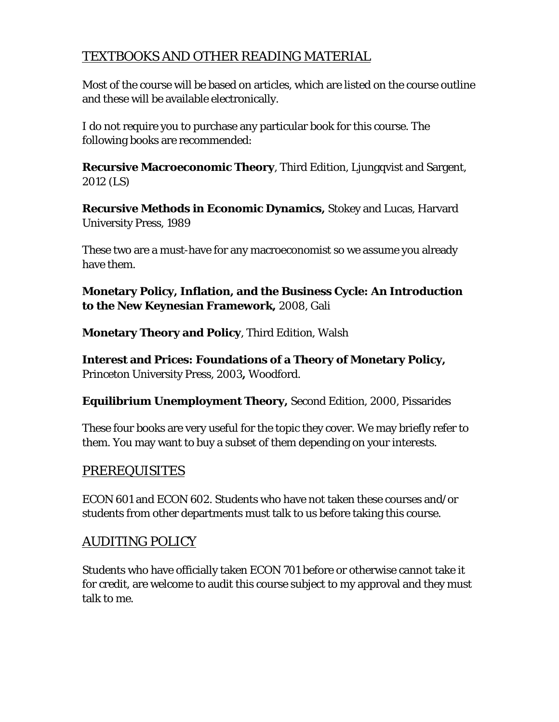## TEXTBOOKS AND OTHER READING MATERIAL

Most of the course will be based on articles, which are listed on the course outline and these will be available electronically.

I do not require you to purchase any particular book for this course. The following books are recommended:

**Recursive Macroeconomic Theory**, Third Edition, Ljungqvist and Sargent, 2012 (LS)

**Recursive Methods in Economic Dynamics,** Stokey and Lucas, Harvard University Press, 1989

These two are a must-have for any macroeconomist so we assume you already have them.

**Monetary Policy, Inflation, and the Business Cycle: An Introduction to the New Keynesian Framework,** 2008, Gali

**Monetary Theory and Policy**, Third Edition, Walsh

**Interest and Prices: Foundations of a Theory of Monetary Policy,**  Princeton University Press, 2003**,** Woodford.

**Equilibrium Unemployment Theory,** Second Edition, 2000, Pissarides

These four books are very useful for the topic they cover. We may briefly refer to them. You may want to buy a subset of them depending on your interests.

## PREREQUISITES

ECON 601 and ECON 602. Students who have not taken these courses and/or students from other departments must talk to us before taking this course.

## AUDITING POLICY

Students who have officially taken ECON 701 before or otherwise cannot take it for credit, are welcome to audit this course subject to my approval and they must talk to me.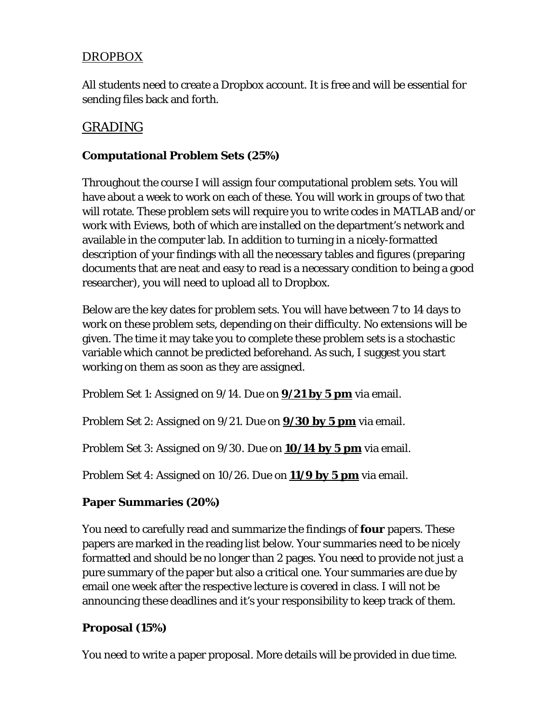## DROPBOX

All students need to create a Dropbox account. It is free and will be essential for sending files back and forth.

## GRADING

#### **Computational Problem Sets (25%)**

Throughout the course I will assign four computational problem sets. You will have about a week to work on each of these. You will work in groups of two that will rotate. These problem sets will require you to write codes in MATLAB and/or work with Eviews, both of which are installed on the department's network and available in the computer lab. In addition to turning in a nicely-formatted description of your findings with all the necessary tables and figures (preparing documents that are neat and easy to read is a necessary condition to being a good researcher), you will need to upload all to Dropbox.

Below are the key dates for problem sets. You will have between 7 to 14 days to work on these problem sets, depending on their difficulty. No extensions will be given. The time it may take you to complete these problem sets is a stochastic variable which cannot be predicted beforehand. As such, I suggest you start working on them as soon as they are assigned.

Problem Set 1: Assigned on 9/14. Due on **9/21 by 5 pm** via email.

Problem Set 2: Assigned on 9/21. Due on **9/30 by 5 pm** via email.

Problem Set 3: Assigned on 9/30. Due on **10/14 by 5 pm** via email.

Problem Set 4: Assigned on 10/26. Due on **11/9 by 5 pm** via email.

#### **Paper Summaries (20%)**

You need to carefully read and summarize the findings of **four** papers. These papers are marked in the reading list below. Your summaries need to be nicely formatted and should be no longer than 2 pages. You need to provide not just a pure summary of the paper but also a critical one. Your summaries are due by email one week after the respective lecture is covered in class. I will not be announcing these deadlines and it's your responsibility to keep track of them.

#### **Proposal (15%)**

You need to write a paper proposal. More details will be provided in due time.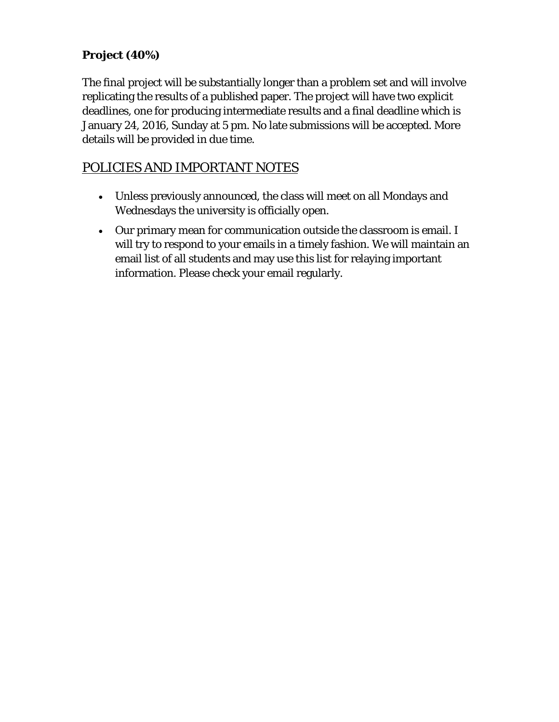## **Project (40%)**

The final project will be substantially longer than a problem set and will involve replicating the results of a published paper. The project will have two explicit deadlines, one for producing intermediate results and a final deadline which is January 24, 2016, Sunday at 5 pm. No late submissions will be accepted. More details will be provided in due time.

## POLICIES AND IMPORTANT NOTES

- Unless previously announced, the class will meet on all Mondays and Wednesdays the university is officially open.
- Our primary mean for communication outside the classroom is email. I will try to respond to your emails in a timely fashion. We will maintain an email list of all students and may use this list for relaying important information. Please check your email regularly.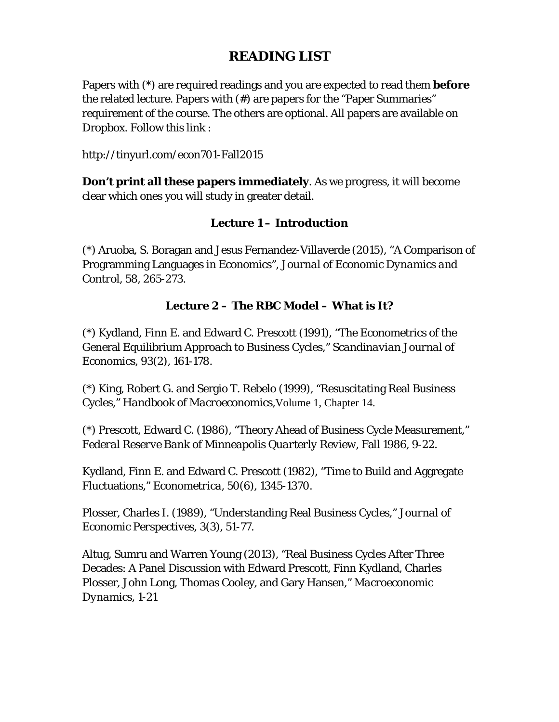## **READING LIST**

Papers with (\*) are required readings and you are expected to read them **before** the related lecture. Papers with (#) are papers for the "Paper Summaries" requirement of the course. The others are optional. All papers are available on Dropbox. Follow this link :

http://tinyurl.com/econ701-Fall2015

**Don't print all these papers immediately**. As we progress, it will become clear which ones you will study in greater detail.

#### **Lecture 1 – Introduction**

(\*) Aruoba, S. Boragan and Jesus Fernandez-Villaverde (2015), "A Comparison of Programming Languages in Economics", *Journal of Economic Dynamics and Control*, 58, 265-273*.*

#### **Lecture 2 – The RBC Model – What is It?**

(\*) Kydland, Finn E. and Edward C. Prescott (1991), "The Econometrics of the General Equilibrium Approach to Business Cycles," *Scandinavian Journal of Economics*, 93(2), 161-178.

(\*) King, Robert G. and Sergio T. Rebelo (1999), "Resuscitating Real Business Cycles," *Handbook of Macroeconomics,*Volume 1, Chapter 14.

(\*) Prescott, Edward C. (1986), "Theory Ahead of Business Cycle Measurement," *Federal Reserve Bank of Minneapolis Quarterly Review*, Fall 1986, 9-22.

Kydland, Finn E. and Edward C. Prescott (1982), "Time to Build and Aggregate Fluctuations," *Econometrica*, 50(6), 1345-1370.

Plosser, Charles I. (1989), "Understanding Real Business Cycles," *Journal of Economic Perspectives,* 3(3), 51-77.

Altug, Sumru and Warren Young (2013), "Real Business Cycles After Three Decades: A Panel Discussion with Edward Prescott, Finn Kydland, Charles Plosser, John Long, Thomas Cooley, and Gary Hansen," *Macroeconomic Dynamics*, 1-21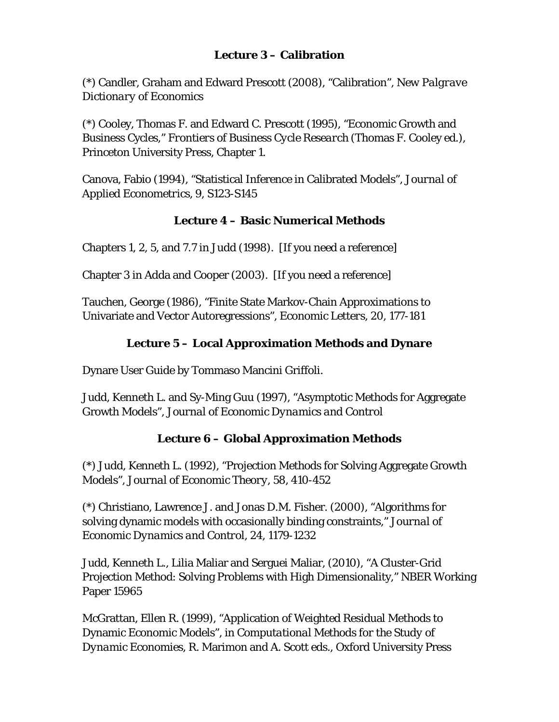#### **Lecture 3 – Calibration**

(\*) Candler, Graham and Edward Prescott (2008), "Calibration", *New Palgrave Dictionary of Economics*

(\*) Cooley, Thomas F. and Edward C. Prescott (1995), "Economic Growth and Business Cycles," *Frontiers of Business Cycle Research* (Thomas F. Cooley ed.), Princeton University Press, Chapter 1.

Canova, Fabio (1994), "Statistical Inference in Calibrated Models", *Journal of Applied Econometrics*, 9, S123-S145

#### **Lecture 4 – Basic Numerical Methods**

Chapters 1, 2, 5, and 7.7 in Judd (1998). [If you need a reference]

Chapter 3 in Adda and Cooper (2003). [If you need a reference]

Tauchen, George (1986), "Finite State Markov-Chain Approximations to Univariate and Vector Autoregressions", *Economic Letters,* 20*,* 177-181

## **Lecture 5 – Local Approximation Methods and Dynare**

Dynare User Guide by Tommaso Mancini Griffoli.

Judd, Kenneth L. and Sy-Ming Guu (1997), "Asymptotic Methods for Aggregate Growth Models", *Journal of Economic Dynamics and Control*

#### **Lecture 6 – Global Approximation Methods**

(\*) Judd, Kenneth L. (1992), "Projection Methods for Solving Aggregate Growth Models", *Journal of Economic Theory,* 58, 410-452

(\*) Christiano, Lawrence J. and Jonas D.M. Fisher. (2000), "Algorithms for solving dynamic models with occasionally binding constraints," *Journal of Economic Dynamics and Control*, 24, 1179-1232

Judd, Kenneth L., Lilia Maliar and Serguei Maliar, (2010), "A Cluster-Grid Projection Method: Solving Problems with High Dimensionality," NBER Working Paper 15965

McGrattan, Ellen R. (1999), "Application of Weighted Residual Methods to Dynamic Economic Models", in *Computational Methods for the Study of Dynamic Economies,* R. Marimon and A. Scott eds., Oxford University Press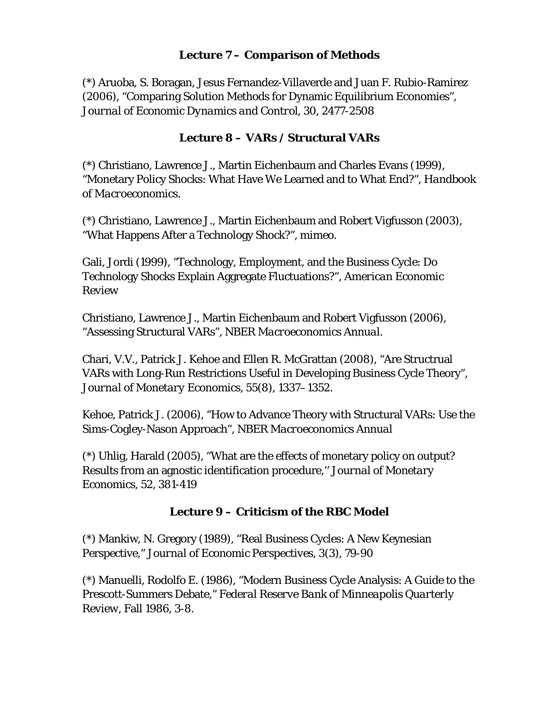#### **Lecture 7 – Comparison of Methods**

(\*) Aruoba, S. Boragan, Jesus Fernandez-Villaverde and Juan F. Rubio-Ramirez (2006), "Comparing Solution Methods for Dynamic Equilibrium Economies", *Journal of Economic Dynamics and Control,* 30*,* 2477-2508

#### **Lecture 8 – VARs / Structural VARs**

(\*) Christiano, Lawrence J., Martin Eichenbaum and Charles Evans (1999), "Monetary Policy Shocks: What Have We Learned and to What End?", *Handbook of Macroeconomics.*

(\*) Christiano, Lawrence J., Martin Eichenbaum and Robert Vigfusson (2003), "What Happens After a Technology Shock?", *mimeo.*

Gali, Jordi (1999), "Technology, Employment, and the Business Cycle: Do Technology Shocks Explain Aggregate Fluctuations?", *American Economic Review*

Christiano, Lawrence J., Martin Eichenbaum and Robert Vigfusson (2006), "Assessing Structural VARs", *NBER Macroeconomics Annual*.

Chari, V.V., Patrick J. Kehoe and Ellen R. McGrattan (2008), "Are Structrual VARs with Long-Run Restrictions Useful in Developing Business Cycle Theory", *Journal of Monetary Economics,* 55(8), 1337–1352.

Kehoe, Patrick J. (2006), "How to Advance Theory with Structural VARs: Use the Sims-Cogley-Nason Approach", *NBER Macroeconomics Annual*

(\*) Uhlig, Harald (2005), "What are the effects of monetary policy on output? Results from an agnostic identification procedure,'' *Journal of Monetary Economics,* 52, 381-419

#### **Lecture 9 – Criticism of the RBC Model**

(\*) Mankiw, N. Gregory (1989), "Real Business Cycles: A New Keynesian Perspective," *Journal of Economic Perspectives,* 3(3), 79-90

(\*) Manuelli, Rodolfo E. (1986), "Modern Business Cycle Analysis: A Guide to the Prescott-Summers Debate," *Federal Reserve Bank of Minneapolis Quarterly Review,* Fall 1986, 3-8.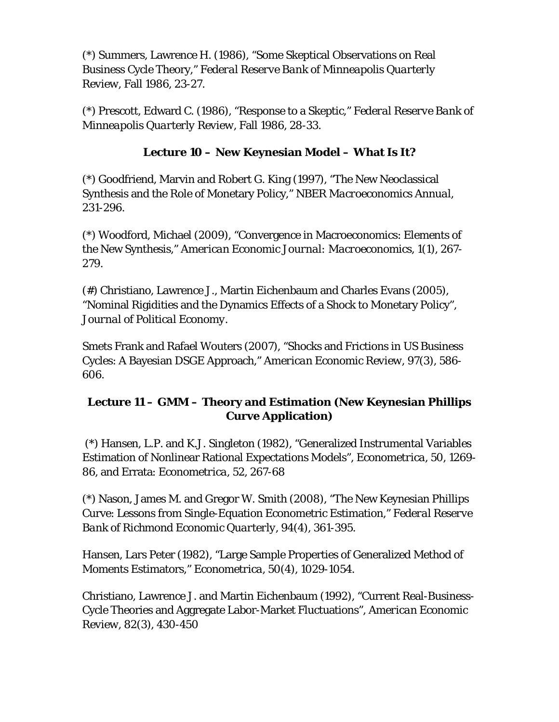(\*) Summers, Lawrence H. (1986), "Some Skeptical Observations on Real Business Cycle Theory," *Federal Reserve Bank of Minneapolis Quarterly Review,* Fall 1986, 23-27.

(\*) Prescott, Edward C. (1986), "Response to a Skeptic," *Federal Reserve Bank of Minneapolis Quarterly Review,* Fall 1986, 28-33.

#### **Lecture 10 – New Keynesian Model – What Is It?**

(\*) Goodfriend, Marvin and Robert G. King (1997), "The New Neoclassical Synthesis and the Role of Monetary Policy," *NBER Macroeconomics Annual*, 231-296.

(\*) Woodford, Michael (2009), "Convergence in Macroeconomics: Elements of the New Synthesis," *American Economic Journal: Macroeconomics*, 1(1), 267- 279.

(#) Christiano, Lawrence J., Martin Eichenbaum and Charles Evans (2005), "Nominal Rigidities and the Dynamics Effects of a Shock to Monetary Policy", *Journal of Political Economy.*

Smets Frank and Rafael Wouters (2007), "Shocks and Frictions in US Business Cycles: A Bayesian DSGE Approach," *American Economic Review,* 97(3), 586- 606.

#### **Lecture 11 – GMM – Theory and Estimation (New Keynesian Phillips Curve Application)**

(\*) Hansen, L.P. and K.J. Singleton (1982), "Generalized Instrumental Variables Estimation of Nonlinear Rational Expectations Models", *Econometrica,* 50, 1269- 86, and Errata: *Econometrica*, 52, 267-68

(\*) Nason, James M. and Gregor W. Smith (2008), "The New Keynesian Phillips Curve: Lessons from Single-Equation Econometric Estimation," *Federal Reserve Bank of Richmond Economic Quarterly,* 94(4), 361-395.

Hansen, Lars Peter (1982), "Large Sample Properties of Generalized Method of Moments Estimators," *Econometrica,* 50(4), 1029-1054.

Christiano, Lawrence J. and Martin Eichenbaum (1992), "Current Real-Business-Cycle Theories and Aggregate Labor-Market Fluctuations", *American Economic Review,* 82(3), 430-450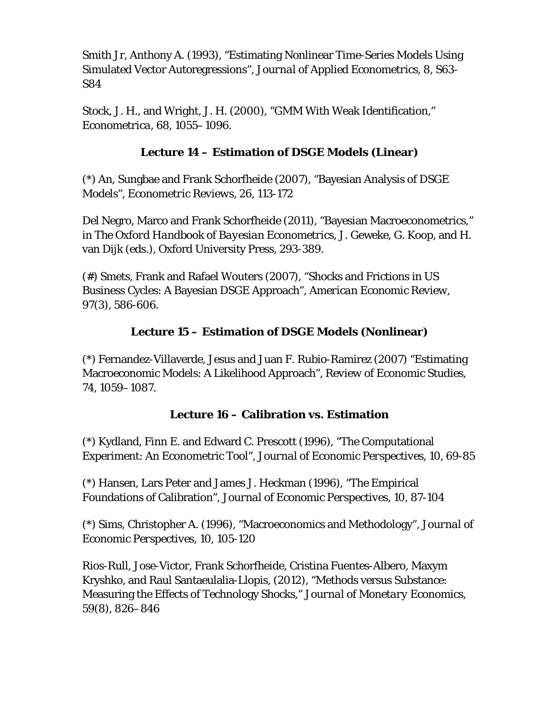Smith Jr, Anthony A. (1993), "Estimating Nonlinear Time-Series Models Using Simulated Vector Autoregressions", *Journal of Applied Econometrics,* 8, S63- S84

Stock, J. H., and Wright, J. H. (2000), "GMM With Weak Identification," *Econometrica*, 68, 1055–1096.

#### **Lecture 14 – Estimation of DSGE Models (Linear)**

(\*) An, Sungbae and Frank Schorfheide (2007), "Bayesian Analysis of DSGE Models", *Econometric Reviews*, 26*,* 113-172

Del Negro, Marco and Frank Schorfheide (2011), "Bayesian Macroeconometrics," in *The Oxford Handbook of Bayesian Econometrics*, J. Geweke, G. Koop, and H. van Dijk (eds.), Oxford University Press, 293-389.

(#) Smets, Frank and Rafael Wouters (2007), "Shocks and Frictions in US Business Cycles: A Bayesian DSGE Approach", *American Economic Review,* 97(3), 586-606.

## **Lecture 15 – Estimation of DSGE Models (Nonlinear)**

(\*) Fernandez-Villaverde, Jesus and Juan F. Rubio-Ramirez (2007) "Estimating Macroeconomic Models: A Likelihood Approach", *Review of Economic Studies,* 74, 1059–1087.

## **Lecture 16 – Calibration vs. Estimation**

(\*) Kydland, Finn E. and Edward C. Prescott (1996), "The Computational Experiment: An Econometric Tool", *Journal of Economic Perspectives*, 10, 69-85

(\*) Hansen, Lars Peter and James J. Heckman (1996), "The Empirical Foundations of Calibration", *Journal of Economic Perspectives*, 10, 87-104

(\*) Sims, Christopher A. (1996), "Macroeconomics and Methodology", *Journal of Economic Perspectives*, 10, 105-120

Rios-Rull, Jose-Victor, Frank Schorfheide, Cristina Fuentes-Albero, Maxym Kryshko, and Raul Santaeulalia-Llopis, (2012), "Methods versus Substance: Measuring the Effects of Technology Shocks," *Journal of Monetary Economics*, 59(8), 826–846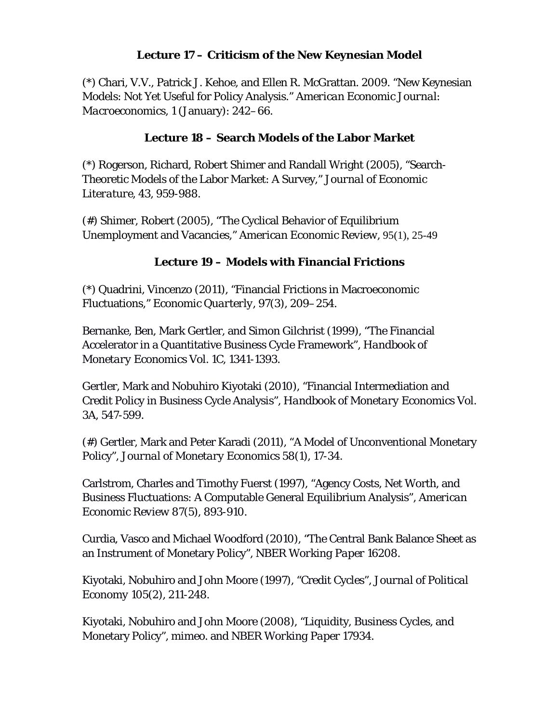#### **Lecture 17 – Criticism of the New Keynesian Model**

(\*) Chari, V.V., Patrick J. Kehoe, and Ellen R. McGrattan. 2009. "New Keynesian Models: Not Yet Useful for Policy Analysis." *American Economic Journal: Macroeconomics,* 1 (January): 242–66.

#### **Lecture 18 – Search Models of the Labor Market**

(\*) Rogerson, Richard, Robert Shimer and Randall Wright (2005), "Search-Theoretic Models of the Labor Market: A Survey," *Journal of Economic Literature*, 43, 959-988.

(#) Shimer, Robert (2005), "The Cyclical Behavior of Equilibrium Unemployment and Vacancies," *American Economic Review,* 95(1), 25-49

#### **Lecture 19 – Models with Financial Frictions**

(\*) Quadrini, Vincenzo (2011), "Financial Frictions in Macroeconomic Fluctuations," *Economic Quarterly*, 97(3), 209–254.

Bernanke, Ben, Mark Gertler, and Simon Gilchrist (1999), "The Financial Accelerator in a Quantitative Business Cycle Framework"*, Handbook of Monetary Economics* Vol. 1C, 1341-1393.

Gertler, Mark and Nobuhiro Kiyotaki (2010), "Financial Intermediation and Credit Policy in Business Cycle Analysis", *Handbook of Monetary Economics* Vol. 3A, 547-599.

(#) Gertler, Mark and Peter Karadi (2011), "A Model of Unconventional Monetary Policy", *Journal of Monetary Economics* 58(1), 17-34.

Carlstrom, Charles and Timothy Fuerst (1997), "Agency Costs, Net Worth, and Business Fluctuations: A Computable General Equilibrium Analysis"*, American Economic Review* 87(5), 893-910.

Curdia, Vasco and Michael Woodford (2010), "The Central Bank Balance Sheet as an Instrument of Monetary Policy", *NBER Working Paper* 16208.

Kiyotaki, Nobuhiro and John Moore (1997), "Credit Cycles", *Journal of Political Economy* 105(2), 211-248.

Kiyotaki, Nobuhiro and John Moore (2008), "Liquidity, Business Cycles, and Monetary Policy", *mimeo*. and *NBER Working Paper* 17934.